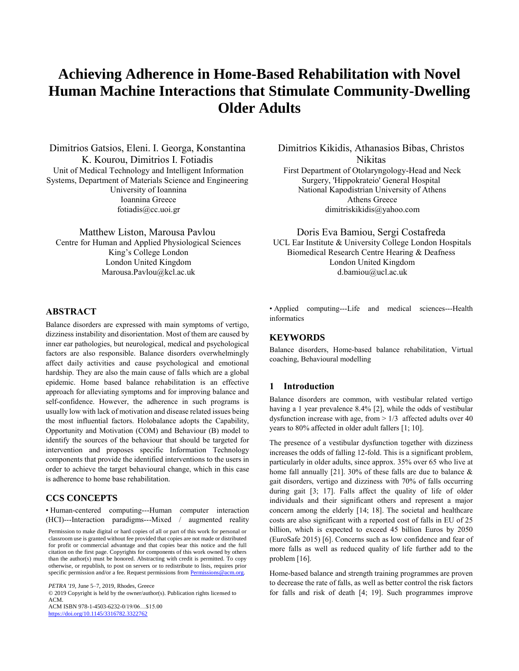# **Achieving Adherence in Home-Based Rehabilitation with Novel Human Machine Interactions that Stimulate Community-Dwelling Older Adults**

Dimitrios Gatsios, Eleni. I. Georga, Konstantina K. Kourou, Dimitrios I. Fotiadis Unit of Medical Technology and Intelligent Information Systems, Department of Materials Science and Engineering University of Ioannina Ioannina Greece fotiadis@cc.uoi.gr

Matthew Liston, Marousa Pavlou Centre for Human and Applied Physiological Sciences King's College London London United Kingdom Marousa.Pavlou@kcl.ac.uk

## **ABSTRACT**

Balance disorders are expressed with main symptoms of vertigo, dizziness instability and disorientation. Most of them are caused by inner ear pathologies, but neurological, medical and psychological factors are also responsible. Balance disorders overwhelmingly affect daily activities and cause psychological and emotional hardship. They are also the main cause of falls which are a global epidemic. Home based balance rehabilitation is an effective approach for alleviating symptoms and for improving balance and self-confidence. However, the adherence in such programs is usually low with lack of motivation and disease related issues being the most influential factors. Holobalance adopts the Capability, Opportunity and Motivation (COM) and Behaviour (B) model to identify the sources of the behaviour that should be targeted for intervention and proposes specific Information Technology components that provide the identified interventions to the users in order to achieve the target behavioural change, which in this case is adherence to home base rehabilitation.

## **CCS CONCEPTS**

• Human-centered computing---Human computer interaction (HCI)---Interaction paradigms---Mixed / augmented reality

Permission to make digital or hard copies of all or part of this work for personal or classroom use is granted without fee provided that copies are not made or distributed for profit or commercial advantage and that copies bear this notice and the full citation on the first page. Copyrights for components of this work owned by others than the author(s) must be honored. Abstracting with credit is permitted. To copy otherwise, or republish, to post on servers or to redistribute to lists, requires prior specific permission and/or a fee. Request permissions fro[m Permissions@acm.org.](mailto:Permissions@acm.org)

*PETRA '19,* June 5–7, 2019, Rhodes, Greece © 2019 Copyright is held by the owner/author(s). Publication rights licensed to ACM.

ACM ISBN 978-1-4503-6232-0/19/06…\$15.00 <https://doi.org/10.1145/3316782.3322762>

Dimitrios Kikidis, Athanasios Bibas, Christos Nikitas First Department of Otolaryngology-Head and Neck Surgery, 'Hippokrateio' General Hospital

National Kapodistrian University of Athens Athens Greece dimitriskikidis@yahoo.com

Doris Eva Bamiou, Sergi Costafreda UCL Ear Institute & University College London Hospitals Biomedical Research Centre Hearing & Deafness London United Kingdom d.bamiou@ucl.ac.uk

• Applied computing---Life and medical sciences---Health informatics

## **KEYWORDS**

Balance disorders, Home-based balance rehabilitation, Virtual coaching, Behavioural modelling

# **1 Introduction**

Balance disorders are common, with vestibular related vertigo having a 1 year prevalence 8.4% [\[2\]](#page-3-0), while the odds of vestibular dysfunction increase with age, from  $> 1/3$  affected adults over 40 years to 80% affected in older adult fallers [\[1;](#page-3-1) [10\]](#page-3-2).

The presence of a vestibular dysfunction together with dizziness increases the odds of falling 12-fold. This is a significant problem, particularly in older adults, since approx. 35% over 65 who live at home fall annually [\[21\]](#page-3-3). 30% of these falls are due to balance & gait disorders, vertigo and dizziness with 70% of falls occurring during gait [\[3;](#page-3-4) [17\]](#page-3-5). Falls affect the quality of life of older individuals and their significant others and represent a major concern among the elderly [\[14;](#page-3-6) [18\]](#page-3-7). The societal and healthcare costs are also significant with a reported cost of falls in EU of 25 billion, which is expected to exceed 45 billion Euros by 2050 (EuroSafe 2015) [\[6\]](#page-3-8). Concerns such as low confidence and fear of more falls as well as reduced quality of life further add to the problem [\[16\]](#page-3-9).

Home-based balance and strength training programmes are proven to decrease the rate of falls, as well as better control the risk factors for falls and risk of death [\[4;](#page-3-10) [19\]](#page-3-11). Such programmes improve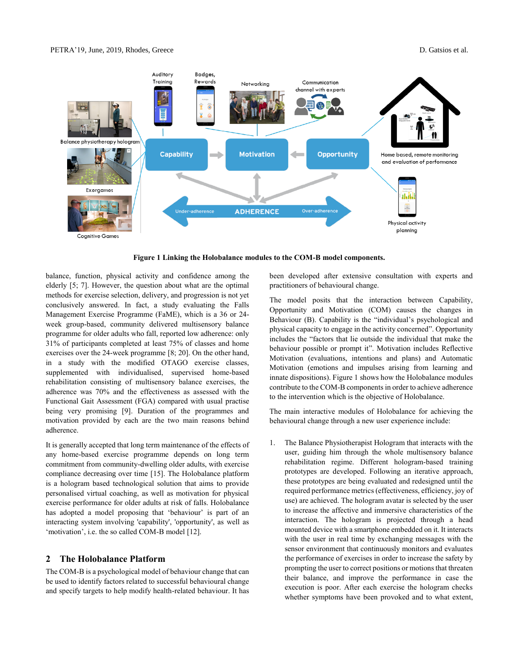

**Figure 1 Linking the Holobalance modules to the COM-B model components.**

balance, function, physical activity and confidence among the elderly [\[5;](#page-3-12) [7\]](#page-3-13). However, the question about what are the optimal methods for exercise selection, delivery, and progression is not yet conclusively answered. In fact, a study evaluating the Falls Management Exercise Programme (FaME), which is a 36 or 24 week group-based, community delivered multisensory balance programme for older adults who fall, reported low adherence: only 31% of participants completed at least 75% of classes and home exercises over the 24-week programme [\[8;](#page-3-14) [20\]](#page-3-15). On the other hand, in a study with the modified OTAGO exercise classes, supplemented with individualised, supervised home-based rehabilitation consisting of multisensory balance exercises, the adherence was 70% and the effectiveness as assessed with the Functional Gait Assessment (FGA) compared with usual practise being very promising [\[9\]](#page-3-16). Duration of the programmes and motivation provided by each are the two main reasons behind adherence.

It is generally accepted that long term maintenance of the effects of any home-based exercise programme depends on long term commitment from community-dwelling older adults, with exercise compliance decreasing over time [\[15\]](#page-3-17). The Holobalance platform is a hologram based technological solution that aims to provide personalised virtual coaching, as well as motivation for physical exercise performance for older adults at risk of falls. Holobalance has adopted a model proposing that 'behaviour' is part of an interacting system involving 'capability', 'opportunity', as well as 'motivation', i.e. the so called COM-B model [\[12\]](#page-3-18).

## **2 The Holobalance Platform**

The COM-B is a psychological model of behaviour change that can be used to identify factors related to successful behavioural change and specify targets to help modify health-related behaviour. It has been developed after extensive consultation with experts and practitioners of behavioural change.

The model posits that the interaction between Capability, Opportunity and Motivation (COM) causes the changes in Behaviour (B). Capability is the "individual's psychological and physical capacity to engage in the activity concerned". Opportunity includes the "factors that lie outside the individual that make the behaviour possible or prompt it". Motivation includes Reflective Motivation (evaluations, intentions and plans) and Automatic Motivation (emotions and impulses arising from learning and innate dispositions). Figure 1 shows how the Holobalance modules contribute to the COM-B components in order to achieve adherence to the intervention which is the objective of Holobalance.

The main interactive modules of Holobalance for achieving the behavioural change through a new user experience include:

1. The Balance Physiotherapist Hologram that interacts with the user, guiding him through the whole multisensory balance rehabilitation regime. Different hologram-based training prototypes are developed. Following an iterative approach, these prototypes are being evaluated and redesigned until the required performance metrics (effectiveness, efficiency, joy of use) are achieved. The hologram avatar is selected by the user to increase the affective and immersive characteristics of the interaction. The hologram is projected through a head mounted device with a smartphone embedded on it. It interacts with the user in real time by exchanging messages with the sensor environment that continuously monitors and evaluates the performance of exercises in order to increase the safety by prompting the user to correct positions or motions that threaten their balance, and improve the performance in case the execution is poor. After each exercise the hologram checks whether symptoms have been provoked and to what extent,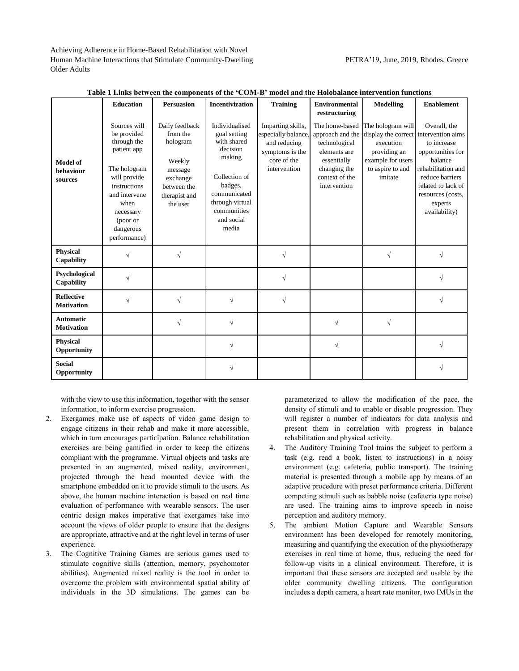Achieving Adherence in Home-Based Rehabilitation with Novel Human Machine Interactions that Stimulate Community-Dwelling Older Adults

|                                         | <b>Education</b>                                                                                                                                                                         | <b>Persuasion</b>                                                                                                   | <b>Incentivization</b>                                                                                                                                                   | <b>Training</b>                                                                                            | <b>Environmental</b><br>restructuring                                                                            | <b>Modelling</b>                                                                                                                                             | <b>Enablement</b>                                                                                                                                                           |
|-----------------------------------------|------------------------------------------------------------------------------------------------------------------------------------------------------------------------------------------|---------------------------------------------------------------------------------------------------------------------|--------------------------------------------------------------------------------------------------------------------------------------------------------------------------|------------------------------------------------------------------------------------------------------------|------------------------------------------------------------------------------------------------------------------|--------------------------------------------------------------------------------------------------------------------------------------------------------------|-----------------------------------------------------------------------------------------------------------------------------------------------------------------------------|
| <b>Model of</b><br>behaviour<br>sources | Sources will<br>be provided<br>through the<br>patient app<br>The hologram<br>will provide<br>instructions<br>and intervene<br>when<br>necessary<br>(poor or<br>dangerous<br>performance) | Daily feedback<br>from the<br>hologram<br>Weekly<br>message<br>exchange<br>between the<br>therapist and<br>the user | Individualised<br>goal setting<br>with shared<br>decision<br>making<br>Collection of<br>badges,<br>communicated<br>through virtual<br>communities<br>and social<br>media | Imparting skills,<br>especially balance.<br>and reducing<br>symptoms is the<br>core of the<br>intervention | The home-based<br>technological<br>elements are<br>essentially<br>changing the<br>context of the<br>intervention | The hologram will<br>approach and the display the correct intervention aims<br>execution<br>providing an<br>example for users<br>to aspire to and<br>imitate | Overall, the<br>to increase<br>opportunities for<br>balance<br>rehabilitation and<br>reduce barriers<br>related to lack of<br>resources (costs,<br>experts<br>availability) |
| <b>Physical</b><br>Capability           | $\sqrt{}$                                                                                                                                                                                | $\sqrt{ }$                                                                                                          |                                                                                                                                                                          | $\sqrt{ }$                                                                                                 |                                                                                                                  | $\sqrt{}$                                                                                                                                                    | $\sqrt{}$                                                                                                                                                                   |
| Psychological<br>Capability             | $\sqrt{}$                                                                                                                                                                                |                                                                                                                     |                                                                                                                                                                          | $\sqrt{ }$                                                                                                 |                                                                                                                  |                                                                                                                                                              | $\sqrt{}$                                                                                                                                                                   |
| <b>Reflective</b><br><b>Motivation</b>  | $\sqrt{}$                                                                                                                                                                                | $\sqrt{ }$                                                                                                          | $\sqrt{}$                                                                                                                                                                | $\sqrt{ }$                                                                                                 |                                                                                                                  |                                                                                                                                                              | $\sqrt{}$                                                                                                                                                                   |
| <b>Automatic</b><br><b>Motivation</b>   |                                                                                                                                                                                          | $\sqrt{}$                                                                                                           | $\sqrt{}$                                                                                                                                                                |                                                                                                            | $\sqrt{ }$                                                                                                       | $\sqrt{}$                                                                                                                                                    |                                                                                                                                                                             |
| <b>Physical</b><br>Opportunity          |                                                                                                                                                                                          |                                                                                                                     | $\sqrt{}$                                                                                                                                                                |                                                                                                            | $\sqrt{ }$                                                                                                       |                                                                                                                                                              | $\sqrt{}$                                                                                                                                                                   |
| <b>Social</b><br>Opportunity            |                                                                                                                                                                                          |                                                                                                                     |                                                                                                                                                                          |                                                                                                            |                                                                                                                  |                                                                                                                                                              |                                                                                                                                                                             |

**Table 1 Links between the components of the 'COM-B' model and the Holobalance intervention functions**

with the view to use this information, together with the sensor information, to inform exercise progression.

- 2. Exergames make use of aspects of video game design to engage citizens in their rehab and make it more accessible, which in turn encourages participation. Balance rehabilitation exercises are being gamified in order to keep the citizens compliant with the programme. Virtual objects and tasks are presented in an augmented, mixed reality, environment, projected through the head mounted device with the smartphone embedded on it to provide stimuli to the users. As above, the human machine interaction is based on real time evaluation of performance with wearable sensors. The user centric design makes imperative that exergames take into account the views of older people to ensure that the designs are appropriate, attractive and at the right level in terms of user experience.
- 3. The Cognitive Training Games are serious games used to stimulate cognitive skills (attention, memory, psychomotor abilities). Augmented mixed reality is the tool in order to overcome the problem with environmental spatial ability of individuals in the 3D simulations. The games can be

parameterized to allow the modification of the pace, the density of stimuli and to enable or disable progression. They will register a number of indicators for data analysis and present them in correlation with progress in balance rehabilitation and physical activity.

- 4. The Auditory Training Tool trains the subject to perform a task (e.g. read a book, listen to instructions) in a noisy environment (e.g. cafeteria, public transport). The training material is presented through a mobile app by means of an adaptive procedure with preset performance criteria. Different competing stimuli such as babble noise (cafeteria type noise) are used. The training aims to improve speech in noise perception and auditory memory.
- 5. The ambient Motion Capture and Wearable Sensors environment has been developed for remotely monitoring, measuring and quantifying the execution of the physiotherapy exercises in real time at home, thus, reducing the need for follow-up visits in a clinical environment. Therefore, it is important that these sensors are accepted and usable by the older community dwelling citizens. The configuration includes a depth camera, a heart rate monitor, two IMUs in the